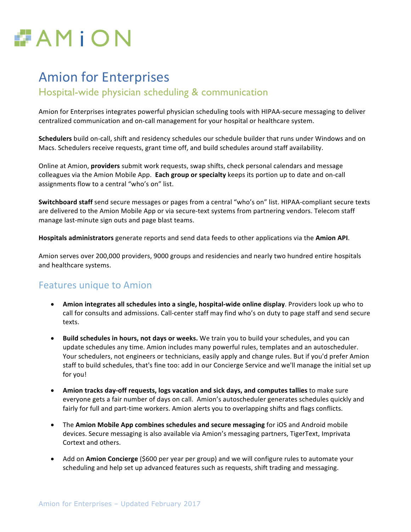

# **Amion for Enterprises**

### Hospital-wide physician scheduling & communication

Amion for Enterprises integrates powerful physician scheduling tools with HIPAA-secure messaging to deliver centralized communication and on-call management for your hospital or healthcare system.

**Schedulers** build on-call, shift and residency schedules our schedule builder that runs under Windows and on Macs. Schedulers receive requests, grant time off, and build schedules around staff availability.

Online at Amion, **providers** submit work requests, swap shifts, check personal calendars and message colleagues via the Amion Mobile App. **Each group or specialty** keeps its portion up to date and on-call assignments flow to a central "who's on" list.

**Switchboard staff** send secure messages or pages from a central "who's on" list. HIPAA-compliant secure texts are delivered to the Amion Mobile App or via secure-text systems from partnering vendors. Telecom staff manage last-minute sign outs and page blast teams.

Hospitals administrators generate reports and send data feeds to other applications via the Amion API.

Amion serves over 200,000 providers, 9000 groups and residencies and nearly two hundred entire hospitals and healthcare systems.

## **Features unique to Amion**

- Amion integrates all schedules into a single, hospital-wide online display. Providers look up who to call for consults and admissions. Call-center staff may find who's on duty to page staff and send secure texts.
- Build schedules in hours, not days or weeks. We train you to build your schedules, and you can update schedules any time. Amion includes many powerful rules, templates and an autoscheduler. Your schedulers, not engineers or technicians, easily apply and change rules. But if you'd prefer Amion staff to build schedules, that's fine too: add in our Concierge Service and we'll manage the initial set up for you!
- Amion tracks day-off requests, logs vacation and sick days, and computes tallies to make sure everyone gets a fair number of days on call. Amion's autoscheduler generates schedules quickly and fairly for full and part-time workers. Amion alerts you to overlapping shifts and flags conflicts.
- The **Amion Mobile App combines schedules and secure messaging** for iOS and Android mobile devices. Secure messaging is also available via Amion's messaging partners, TigerText, Imprivata Cortext and others.
- Add on **Amion Concierge** (\$600 per year per group) and we will configure rules to automate your scheduling and help set up advanced features such as requests, shift trading and messaging.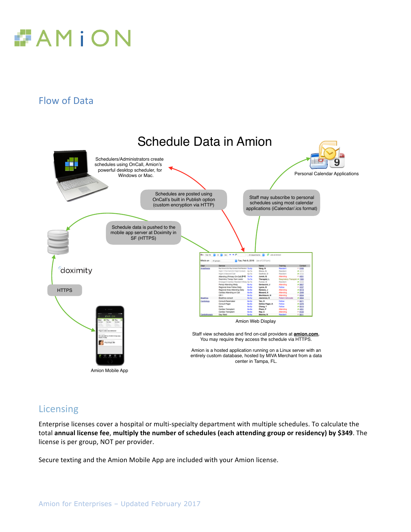

# Flow of Data



## Licensing

Enterprise licenses cover a hospital or multi-specialty department with multiple schedules. To calculate the total annual license fee, multiply the number of schedules (each attending group or residency) by \$349. The license is per group, NOT per provider.

Secure texting and the Amion Mobile App are included with your Amion license.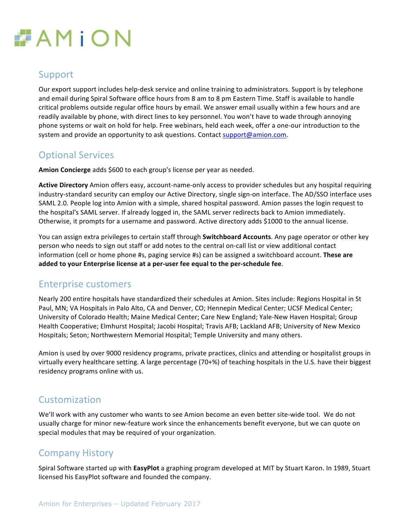

## Support

Our export support includes help-desk service and online training to administrators. Support is by telephone and email during Spiral Software office hours from 8 am to 8 pm Eastern Time. Staff is available to handle critical problems outside regular office hours by email. We answer email usually within a few hours and are readily available by phone, with direct lines to key personnel. You won't have to wade through annoying phone systems or wait on hold for help. Free webinars, held each week, offer a one-our introduction to the system and provide an opportunity to ask questions. Contact support@amion.com.

## **Optional Services**

Amion Concierge adds \$600 to each group's license per year as needed.

Active Directory Amion offers easy, account-name-only access to provider schedules but any hospital requiring industry-standard security can employ our Active Directory, single sign-on interface. The AD/SSO interface uses SAML 2.0. People log into Amion with a simple, shared hospital password. Amion passes the login request to the hospital's SAML server. If already logged in, the SAML server redirects back to Amion immediately. Otherwise, it prompts for a username and password. Active directory adds \$1000 to the annual license.

You can assign extra privileges to certain staff through **Switchboard Accounts**. Any page operator or other key person who needs to sign out staff or add notes to the central on-call list or view additional contact information (cell or home phone #s, paging service #s) can be assigned a switchboard account. **These are** added to your Enterprise license at a per-user fee equal to the per-schedule fee.

#### Enterprise customers

Nearly 200 entire hospitals have standardized their schedules at Amion. Sites include: Regions Hospital in St Paul, MN; VA Hospitals in Palo Alto, CA and Denver, CO; Hennepin Medical Center; UCSF Medical Center; University of Colorado Health; Maine Medical Center; Care New England; Yale-New Haven Hospital; Group Health Cooperative; Elmhurst Hospital; Jacobi Hospital; Travis AFB; Lackland AFB; University of New Mexico Hospitals; Seton; Northwestern Memorial Hospital; Temple University and many others.

Amion is used by over 9000 residency programs, private practices, clinics and attending or hospitalist groups in virtually every healthcare setting. A large percentage (70+%) of teaching hospitals in the U.S. have their biggest residency programs online with us.

## Customization

We'll work with any customer who wants to see Amion become an even better site-wide tool. We do not usually charge for minor new-feature work since the enhancements benefit everyone, but we can quote on special modules that may be required of your organization.

## Company History

Spiral Software started up with **EasyPlot** a graphing program developed at MIT by Stuart Karon. In 1989, Stuart licensed his EasyPlot software and founded the company.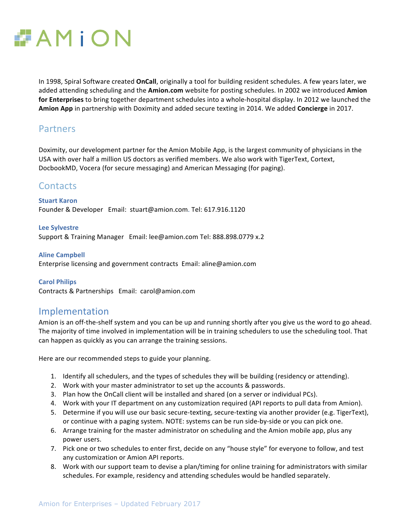

In 1998, Spiral Software created **OnCall**, originally a tool for building resident schedules. A few years later, we added attending scheduling and the **Amion.com** website for posting schedules. In 2002 we introduced **Amion** for Enterprises to bring together department schedules into a whole-hospital display. In 2012 we launched the **Amion App** in partnership with Doximity and added secure texting in 2014. We added **Concierge** in 2017.

#### **Partners**

Doximity, our development partner for the Amion Mobile App, is the largest community of physicians in the USA with over half a million US doctors as verified members. We also work with TigerText, Cortext, DocbookMD, Vocera (for secure messaging) and American Messaging (for paging).

#### **Contacts**

**Stuart Karon** Founder & Developer Email: stuart@amion.com. Tel: 617.916.1120

**Lee Sylvestre** Support & Training Manager Email: lee@amion.com Tel: 888.898.0779 x.2

**Aline Campbell** Enterprise licensing and government contracts  $Email:$  aline@amion.com

**Carol Philips** Contracts & Partnerships Email: carol@amion.com

#### Implementation

Amion is an off-the-shelf system and you can be up and running shortly after you give us the word to go ahead. The majority of time involved in implementation will be in training schedulers to use the scheduling tool. That can happen as quickly as you can arrange the training sessions.

Here are our recommended steps to guide your planning.

- 1. Identify all schedulers, and the types of schedules they will be building (residency or attending).
- 2. Work with your master administrator to set up the accounts & passwords.
- 3. Plan how the OnCall client will be installed and shared (on a server or individual PCs).
- 4. Work with your IT department on any customization required (API reports to pull data from Amion).
- 5. Determine if you will use our basic secure-texting, secure-texting via another provider (e.g. TigerText), or continue with a paging system. NOTE: systems can be run side-by-side or you can pick one.
- 6. Arrange training for the master administrator on scheduling and the Amion mobile app, plus any power users.
- 7. Pick one or two schedules to enter first, decide on any "house style" for everyone to follow, and test any customization or Amion API reports.
- 8. Work with our support team to devise a plan/timing for online training for administrators with similar schedules. For example, residency and attending schedules would be handled separately.